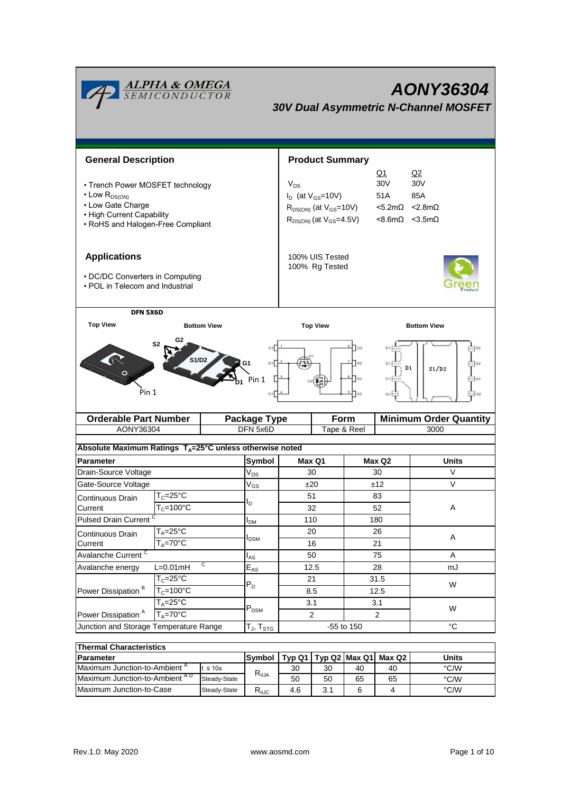| <b>ALPHA &amp; OMEGA</b><br>SEMICONDUCTOR<br><b>AONY36304</b><br><b>30V Dual Asymmetric N-Channel MOSFET</b>                                        |                                                                                |                                 |          |                                                                                                                                                                                                                                         |                     |                |                                       |  |  |
|-----------------------------------------------------------------------------------------------------------------------------------------------------|--------------------------------------------------------------------------------|---------------------------------|----------|-----------------------------------------------------------------------------------------------------------------------------------------------------------------------------------------------------------------------------------------|---------------------|----------------|---------------------------------------|--|--|
| <b>General Description</b>                                                                                                                          |                                                                                |                                 |          | <b>Product Summary</b>                                                                                                                                                                                                                  |                     |                |                                       |  |  |
| • Trench Power MOSFET technology<br>$\cdot$ Low $R_{DS(ON)}$<br>• Low Gate Charge<br>• High Current Capability<br>• RoHS and Halogen-Free Compliant |                                                                                |                                 | $V_{DS}$ | Q1<br>Q2<br>30V<br>30 <sub>V</sub><br>$I_D$ (at $V_{GS}$ =10V)<br>51A<br>85A<br>$< 2.8$ m $\Omega$<br>$R_{DS(ON)}$ (at $V_{GS}$ =10V)<br>$<$ 5.2m $\Omega$<br>$R_{DS(ON)}$ (at $V_{GS}$ =4.5V)<br>$< 8.6$ m $\Omega$ $< 3.5$ m $\Omega$ |                     |                |                                       |  |  |
| <b>Applications</b><br>• DC/DC Converters in Computing<br>. POL in Telecom and Industrial                                                           |                                                                                |                                 |          | 100% UIS Tested<br>100% Rg Tested                                                                                                                                                                                                       |                     |                |                                       |  |  |
| <b>Top View</b>                                                                                                                                     | DFN 5X6D<br><b>Bottom View</b>                                                 |                                 |          | <b>Top View</b>                                                                                                                                                                                                                         |                     |                | <b>Bottom View</b>                    |  |  |
| G2<br>S <sub>2</sub><br>S1/D2<br>D1<br>Pin 1<br>Pin 1<br>D <sub>1</sub>                                                                             |                                                                                |                                 |          | $\overline{\phantom{a}}$ G2<br>$\sqrt{ }$ s <sub>2</sub><br>$\sqrt{ }$ s <sub>2</sub><br>D <sub>1</sub><br>S <sub>2</sub><br>G1                                                                                                         |                     |                | $_{\rm D1}$<br>S1/D2                  |  |  |
| <b>Orderable Part Number</b><br>AONY36304                                                                                                           |                                                                                | <b>Package Type</b><br>DFN 5x6D |          | Form<br>Tape & Reel                                                                                                                                                                                                                     |                     |                | <b>Minimum Order Quantity</b><br>3000 |  |  |
|                                                                                                                                                     |                                                                                |                                 |          |                                                                                                                                                                                                                                         |                     |                |                                       |  |  |
| Absolute Maximum Ratings T <sub>A</sub> =25°C unless otherwise noted                                                                                |                                                                                |                                 |          |                                                                                                                                                                                                                                         |                     |                |                                       |  |  |
| Parameter                                                                                                                                           |                                                                                | Symbol                          |          | Max Q1                                                                                                                                                                                                                                  | Max Q2              |                | <b>Units</b>                          |  |  |
| Drain-Source Voltage                                                                                                                                |                                                                                | $V_{DS}$                        |          | 30                                                                                                                                                                                                                                      | 30<br>±12           |                | V                                     |  |  |
| Gate-Source Voltage                                                                                                                                 |                                                                                | $V_{GS}$                        |          | ±20                                                                                                                                                                                                                                     |                     |                | V                                     |  |  |
| Continuous Drain<br>Current                                                                                                                         | $\mathsf{T}_{\mathsf{C}}\texttt{=}25^\circ\mathsf{C}$<br>$T_c = 100^{\circ}$ C | $I_D$                           |          | 51<br>32                                                                                                                                                                                                                                |                     | 83<br>52       |                                       |  |  |
|                                                                                                                                                     |                                                                                | I <sub>DМ</sub>                 |          |                                                                                                                                                                                                                                         |                     |                | Α                                     |  |  |
|                                                                                                                                                     | <b>Pulsed Drain Current</b><br>$T_A = 25$ °C                                   |                                 |          | 110<br>20                                                                                                                                                                                                                               |                     | 180<br>26      |                                       |  |  |
| Continuous Drain<br>Current                                                                                                                         | $T_A = 70^\circ C$                                                             | $I_{DSM}$                       |          | 16                                                                                                                                                                                                                                      |                     | 21             | Α                                     |  |  |
| Avalanche Current <sup>C</sup>                                                                                                                      |                                                                                | $I_{AS}$                        |          | 50                                                                                                                                                                                                                                      | 75                  |                | Α                                     |  |  |
| C<br>$L=0.01mH$<br>Avalanche energy                                                                                                                 |                                                                                | $E_{AS}$                        |          | 12.5                                                                                                                                                                                                                                    |                     | 28             | mJ                                    |  |  |
| Power Dissipation <sup>B</sup>                                                                                                                      | $T_c = 25^{\circ}$ C                                                           |                                 |          | 21                                                                                                                                                                                                                                      | 31.5<br>12.5<br>3.1 |                |                                       |  |  |
|                                                                                                                                                     | $T_c = 100^{\circ}$ C                                                          | $P_D$                           |          | 8.5                                                                                                                                                                                                                                     |                     |                | W                                     |  |  |
|                                                                                                                                                     | $T_A = 25^{\circ}C$                                                            |                                 |          | 3.1                                                                                                                                                                                                                                     |                     |                |                                       |  |  |
| Power Dissipation <sup>A</sup>                                                                                                                      | $T_A = 70^\circ C$                                                             | $\mathsf{P}_\mathsf{DSM}$       |          | $\overline{a}$                                                                                                                                                                                                                          |                     | $\overline{2}$ | W                                     |  |  |
| Junction and Storage Temperature Range                                                                                                              |                                                                                | $T_J$ , $T_{STG}$               |          | -55 to 150                                                                                                                                                                                                                              |                     |                | $^{\circ}C$                           |  |  |
| <b>Thermal Characteristics</b>                                                                                                                      |                                                                                |                                 |          |                                                                                                                                                                                                                                         |                     |                |                                       |  |  |

| THEITHAI UNATAUCH ISUUS                  |              |                                     |     |    |                                   |       |      |  |
|------------------------------------------|--------------|-------------------------------------|-----|----|-----------------------------------|-------|------|--|
| <b>IParameter</b>                        | Symbol       |                                     |     |    | Typ Q1   Typ Q2   Max Q1   Max Q2 | Units |      |  |
| Maximum Junction-to-Ambient <sup>"</sup> | $\leq 10s$   | $R_{\theta$ JA                      | 30  | 30 | 40                                | 40    | °C/W |  |
| Maximum Junction-to-Ambient AD           | Steady-State |                                     | 50  | 50 | 65                                | 65    | °C/W |  |
| Maximum Junction-to-Case<br>Steady-State |              | D<br>$\mathsf{r}_{\theta\text{JC}}$ | 4.6 | J. |                                   |       | °C/W |  |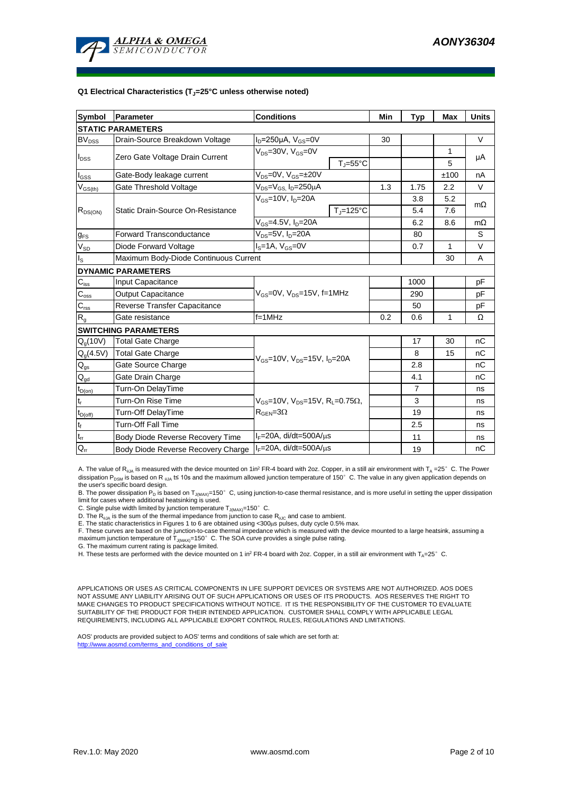

#### **Q1 Electrical Characteristics (TJ=25°C unless otherwise noted)**

| <b>Symbol</b>               | Parameter                             | <b>Conditions</b>                                                                           | Min                   | <b>Typ</b> | <b>Max</b>     | <b>Units</b> |           |  |  |
|-----------------------------|---------------------------------------|---------------------------------------------------------------------------------------------|-----------------------|------------|----------------|--------------|-----------|--|--|
| <b>STATIC PARAMETERS</b>    |                                       |                                                                                             |                       |            |                |              |           |  |  |
| $BV_{DSS}$                  | Drain-Source Breakdown Voltage        | $I_D = 250 \mu A$ , $V_{GS} = 0V$                                                           |                       | 30         |                |              | $\vee$    |  |  |
| $I_{DSS}$                   | Zero Gate Voltage Drain Current       | $V_{DS} = 30V$ , $V_{GS} = 0V$                                                              |                       |            |                | 1            |           |  |  |
|                             |                                       |                                                                                             | $T_{J} = 55^{\circ}C$ |            |                | 5            | μA        |  |  |
| $I_{GSS}$                   | Gate-Body leakage current             | $V_{DS} = 0V$ , $V_{GS} = \pm 20V$                                                          |                       |            |                | ±100         | nA        |  |  |
| $V_{GS(th)}$                | Gate Threshold Voltage                | V <sub>DS</sub> =V <sub>GS.</sub> I <sub>D</sub> =250μA                                     |                       | 1.3        | 1.75           | 2.2          | V         |  |  |
|                             |                                       | $V_{GS}$ =10V, $I_D$ =20A                                                                   |                       |            | 3.8            | 5.2          | $m\Omega$ |  |  |
| $R_{DS(ON)}$                | Static Drain-Source On-Resistance     |                                                                                             | $T_J = 125$ °C        |            | 5.4            | 7.6          |           |  |  |
|                             |                                       | $V_{GS}$ =4.5V, $I_D$ =20A                                                                  |                       |            | 6.2            | 8.6          | $m\Omega$ |  |  |
| $g_{FS}$                    | <b>Forward Transconductance</b>       | $V_{DS}$ =5V, $I_D$ =20A                                                                    |                       |            | 80             |              | S         |  |  |
| $V_{SD}$                    | Diode Forward Voltage                 | $IS=1A, VGS=0V$                                                                             |                       |            | 0.7            | 1            | V         |  |  |
| $I_{\rm S}$                 | Maximum Body-Diode Continuous Current |                                                                                             |                       |            | 30             | A            |           |  |  |
|                             | <b>DYNAMIC PARAMETERS</b>             |                                                                                             |                       |            |                |              |           |  |  |
| $\mathsf{C}_{\mathsf{iss}}$ | <b>Input Capacitance</b>              |                                                                                             |                       |            | 1000           |              | рF        |  |  |
| $C_{\rm oss}$               | <b>Output Capacitance</b>             | $V_{GS}$ =0V, $V_{DS}$ =15V, f=1MHz                                                         |                       |            | 290            |              | рF        |  |  |
| $C_{\text{rss}}$            | Reverse Transfer Capacitance          |                                                                                             |                       | 50         |                | рF           |           |  |  |
| $R_{g}$                     | Gate resistance                       | f=1MHz                                                                                      |                       | 0.2        | 0.6            | 1            | Ω         |  |  |
|                             | <b>SWITCHING PARAMETERS</b>           |                                                                                             |                       |            |                |              |           |  |  |
| $Q_g(10V)$                  | <b>Total Gate Charge</b>              |                                                                                             |                       |            | 17             | 30           | nC        |  |  |
| $Q_g(4.5V)$                 | <b>Total Gate Charge</b>              | $V_{GS}$ =10V, $V_{DS}$ =15V, $I_{D}$ =20A                                                  |                       |            | 8              | 15           | nC        |  |  |
| $\mathsf{Q}_{\text{gs}}$    | Gate Source Charge                    |                                                                                             |                       | 2.8        |                | nC           |           |  |  |
| $\mathbf{Q}_{\text{gd}}$    | Gate Drain Charge                     |                                                                                             |                       | 4.1        |                | nС           |           |  |  |
| $t_{D(on)}$                 | Turn-On DelayTime                     |                                                                                             |                       |            | $\overline{7}$ |              | ns        |  |  |
| $\mathsf{t}_\mathsf{r}$     | Turn-On Rise Time                     | $V_{GS}$ =10V, $V_{DS}$ =15V, R <sub>L</sub> =0.75 $\Omega$ ,<br>$R_{\text{GEN}} = 3\Omega$ |                       |            | 3              |              | ns        |  |  |
| $t_{D(off)}$                | Turn-Off DelayTime                    |                                                                                             |                       |            | 19             |              | ns        |  |  |
| $\mathsf{t}_{\mathsf{f}}$   | Turn-Off Fall Time                    |                                                                                             |                       |            | 2.5            |              | ns        |  |  |
| $\mathfrak{t}_{\text{rr}}$  | Body Diode Reverse Recovery Time      | $I_F = 20A$ , di/dt=500A/ $\mu$ s                                                           |                       |            | 11             |              | ns        |  |  |
| $Q_{rr}$                    | Body Diode Reverse Recovery Charge    | $I_F = 20A$ , di/dt=500A/us                                                                 |                       |            | 19             |              | nC        |  |  |

A. The value of R<sub>0JA</sub> is measured with the device mounted on 1in<sup>2</sup> FR-4 board with 2oz. Copper, in a still air environment with T<sub>A</sub> =25°C. The Power dissipation P<sub>DSM</sub> is based on R <sub>0JA</sub> t≤ 10s and the maximum allowed junction temperature of 150°C. The value in any given application depends on the user's specific board design.

B. The power dissipation P<sub>D</sub> is based on T<sub>J(MAX)</sub>=150°C, using junction-to-case thermal resistance, and is more useful in setting the upper dissipation limit for cases where additional heatsinking is used.

C. Single pulse width limited by junction temperature  $T_{J(MAX)}$ =150°C.

D. The  $R_{\theta JA}$  is the sum of the thermal impedance from junction to case  $R_{\theta JC}$  and case to ambient.

E. The static characteristics in Figures 1 to 6 are obtained using <300us pulses, duty cycle 0.5% max.

F. These curves are based on the junction-to-case thermal impedance which is measured with the device mounted to a large heatsink, assuming a maximum junction temperature of  $T_{J(MAX)}$ =150°C. The SOA curve provides a single pulse rating.

G. The maximum current rating is package limited.

H. These tests are performed with the device mounted on 1 in<sup>2</sup> FR-4 board with 2oz. Copper, in a still air environment with T<sub>A</sub>=25°C.

APPLICATIONS OR USES AS CRITICAL COMPONENTS IN LIFE SUPPORT DEVICES OR SYSTEMS ARE NOT AUTHORIZED. AOS DOES NOT ASSUME ANY LIABILITY ARISING OUT OF SUCH APPLICATIONS OR USES OF ITS PRODUCTS. AOS RESERVES THE RIGHT TO MAKE CHANGES TO PRODUCT SPECIFICATIONS WITHOUT NOTICE. IT IS THE RESPONSIBILITY OF THE CUSTOMER TO EVALUATE SUITABILITY OF THE PRODUCT FOR THEIR INTENDED APPLICATION. CUSTOMER SHALL COMPLY WITH APPLICABLE LEGAL REQUIREMENTS, INCLUDING ALL APPLICABLE EXPORT CONTROL RULES, REGULATIONS AND LIMITATIONS.

AOS' products are provided subject to AOS' terms and conditions of sale which are set forth at: http://www.aosmd.com/terms\_and\_conditions\_of\_sale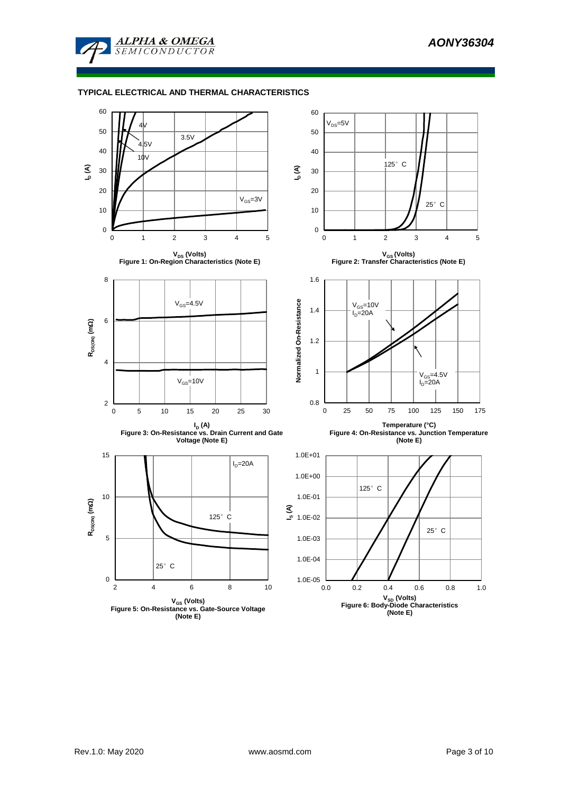

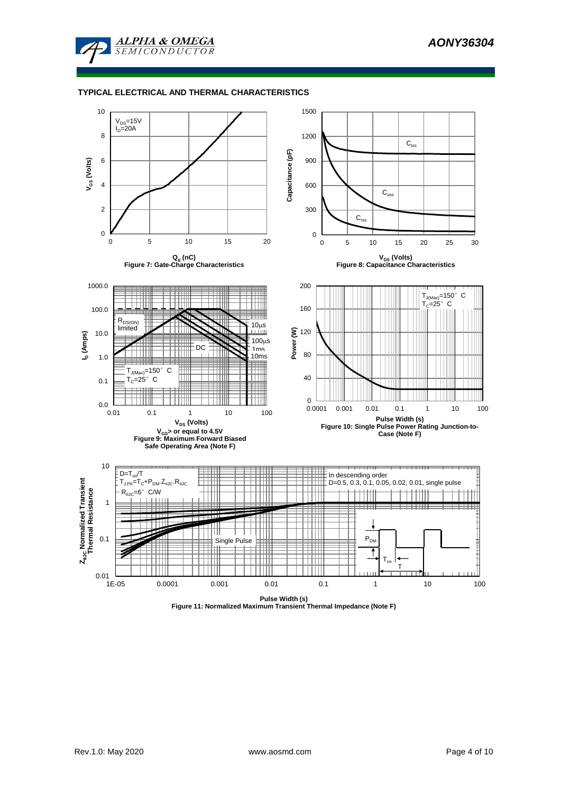



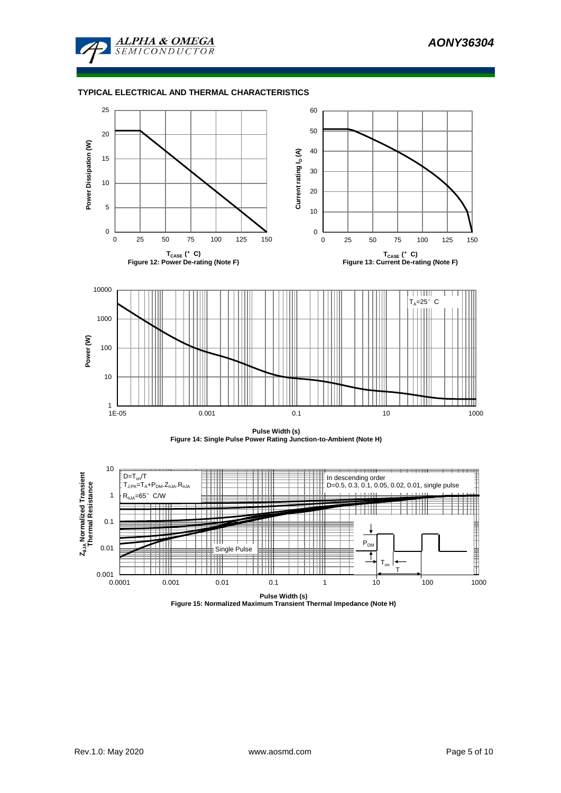







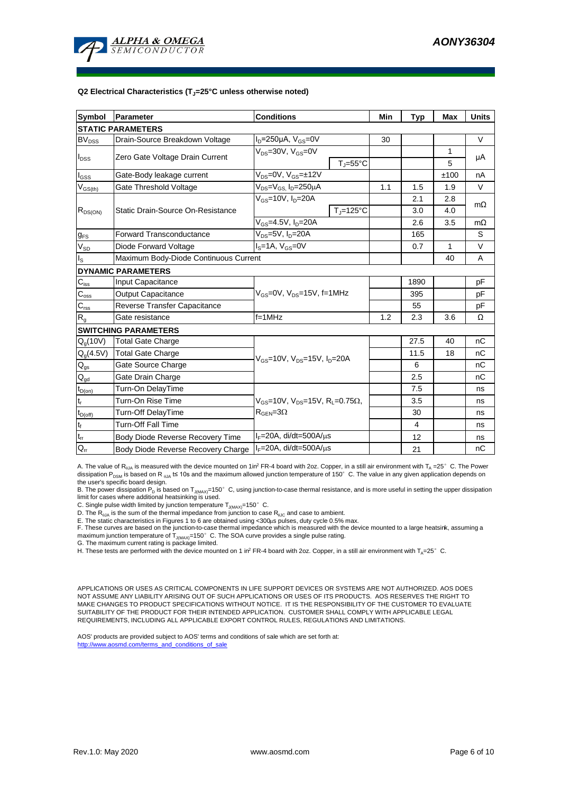

#### **Q2 Electrical Characteristics (TJ=25°C unless otherwise noted)**

| <b>Symbol</b>                          | Parameter                             | <b>Conditions</b>                                                                                            | Min                 | Typ            | <b>Max</b> | <b>Units</b> |           |  |  |
|----------------------------------------|---------------------------------------|--------------------------------------------------------------------------------------------------------------|---------------------|----------------|------------|--------------|-----------|--|--|
| <b>STATIC PARAMETERS</b>               |                                       |                                                                                                              |                     |                |            |              |           |  |  |
| <b>BV<sub>DSS</sub></b>                | Drain-Source Breakdown Voltage        | $I_D = 250 \mu A$ , $V_{GS} = 0V$                                                                            |                     | 30             |            |              | $\vee$    |  |  |
|                                        | Zero Gate Voltage Drain Current       | $V_{DS}$ =30V, $V_{GS}$ =0V                                                                                  |                     |                |            | 1            |           |  |  |
| $I_{DSS}$                              |                                       |                                                                                                              | $T_J = 55^{\circ}C$ |                |            | 5            | μA        |  |  |
| $I_{GSS}$                              | Gate-Body leakage current             | $V_{DS} = 0V$ , $V_{GS} = \pm 12V$                                                                           |                     |                |            | ±100         | nA        |  |  |
| $V_{GS(th)}$                           | Gate Threshold Voltage                | V <sub>DS</sub> =V <sub>GS.</sub> I <sub>D</sub> =250μA                                                      |                     | 1.1            | 1.5        | 1.9          | V         |  |  |
|                                        |                                       | $V_{GS}$ =10V, $I_D$ =20A                                                                                    |                     |                | 2.1        | 2.8          | $m\Omega$ |  |  |
| $R_{DS(ON)}$                           | Static Drain-Source On-Resistance     |                                                                                                              | $T_J = 125$ °C      |                | 3.0        | 4.0          |           |  |  |
|                                        |                                       | V <sub>GS</sub> =4.5V, I <sub>D</sub> =20A                                                                   |                     |                | 2.6        | 3.5          | $m\Omega$ |  |  |
| $g_{FS}$                               | <b>Forward Transconductance</b>       | $V_{DS} = 5V$ , $I_D = 20A$                                                                                  |                     |                | 165        |              | S         |  |  |
| $V_{SD}$                               | Diode Forward Voltage                 | $IS=1A, VGS=0V$                                                                                              |                     |                | 0.7        | 1            | V         |  |  |
| lls                                    | Maximum Body-Diode Continuous Current |                                                                                                              |                     |                | 40         | A            |           |  |  |
| <b>DYNAMIC PARAMETERS</b>              |                                       |                                                                                                              |                     |                |            |              |           |  |  |
| $\mathbf{C}_{\text{iss}}$              | <b>Input Capacitance</b>              |                                                                                                              |                     |                | 1890       |              | pF        |  |  |
| $C_{\rm oss}$                          | <b>Output Capacitance</b>             | $V_{GS}$ =0V, $V_{DS}$ =15V, f=1MHz                                                                          |                     | 395            |            | рF           |           |  |  |
| $\mathbf{C}_{\text{rss}}$              | Reverse Transfer Capacitance          |                                                                                                              |                     | 55             |            | рF           |           |  |  |
| $R_{g}$                                | Gate resistance                       | $f = 1$ MHz                                                                                                  | 1.2                 | 2.3            | 3.6        | Ω            |           |  |  |
|                                        | <b>SWITCHING PARAMETERS</b>           |                                                                                                              |                     |                |            |              |           |  |  |
| $Q_g(10V)$                             | <b>Total Gate Charge</b>              |                                                                                                              |                     |                | 27.5       | 40           | nC        |  |  |
| $Q_g(4.5V)$                            | <b>Total Gate Charge</b>              | $V_{GS}$ =10V, $V_{DS}$ =15V, $I_{D}$ =20A                                                                   |                     | 11.5           | 18         | nC           |           |  |  |
| $\mathsf{Q}_{\text{gs}}$               | Gate Source Charge                    |                                                                                                              |                     |                | 6          |              | nC        |  |  |
| $\mathsf{Q}_{\underline{\mathsf{gd}}}$ | Gate Drain Charge                     |                                                                                                              |                     | 2.5            |            | nC           |           |  |  |
| $t_{D(on)}$                            | Turn-On DelayTime                     |                                                                                                              |                     |                | 7.5        |              | ns        |  |  |
| $t_r$                                  | Turn-On Rise Time                     | $V_{GS}$ =10V, $V_{DS}$ =15V, R <sub>L</sub> =0.75 $\Omega$ ,<br>$\mathsf{R}_{\mathsf{GEN}}\!\!=\!\!3\Omega$ |                     |                | 3.5        |              | ns        |  |  |
| $t_{D(off)}$                           | Turn-Off DelayTime                    |                                                                                                              |                     |                | 30         |              | ns        |  |  |
| $t_f$                                  | <b>Turn-Off Fall Time</b>             |                                                                                                              |                     | $\overline{4}$ |            | ns           |           |  |  |
| $\mathfrak{t}_{\text{rr}}$             | Body Diode Reverse Recovery Time      | $I_F = 20A$ , di/dt=500A/ $\mu$ s                                                                            |                     |                | 12         |              | ns        |  |  |
| $Q_{rr}$                               | Body Diode Reverse Recovery Charge    | $I_F = 20A$ , di/dt=500A/ $\mu$ s                                                                            |                     | 21             |            | nC           |           |  |  |

A. The value of R<sub>9JA</sub> is measured with the device mounted on 1in<sup>2</sup> FR-4 board with 2oz. Copper, in a still air environment with T<sub>a</sub> =25° C. The Power dissipation P<sub>DSM</sub> is based on R <sub>0JA</sub> t≤ 10s and the maximum allowed junction temperature of 150°C. The value in any given application depends on the user's specific board design.

B. The power dissipation P<sub>D</sub> is based on T<sub>J(MAX)</sub>=150°C, using junction-to-case thermal resistance, and is more useful in setting the upper dissipation<br>limit for cases where additional heatsinking is used.

C. Single pulse width limited by junction temperature  $T_{J(MAX)}$ =150°C.

D. The  $R_{q_1q_2}$  is the sum of the thermal impedance from junction to case  $R_{q_1q_2}$  and case to ambient.

E. The static characteristics in Figures 1 to 6 are obtained using <300us pulses, duty cycle 0.5% max.

F. These curves are based on the junction-to-case thermal impedance which is measured with the device mounted to a large heatsink, assuming a maximum junction temperature of  $T_{J(MAX)}$ =150°C. The SOA curve provides a single pulse rating.

G. The maximum current rating is package limited.

H. These tests are performed with the device mounted on 1 in? FR-4 board with 2oz. Copper, in a still air environment with  $T_a=25^\circ$  C.

APPLICATIONS OR USES AS CRITICAL COMPONENTS IN LIFE SUPPORT DEVICES OR SYSTEMS ARE NOT AUTHORIZED. AOS DOES NOT ASSUME ANY LIABILITY ARISING OUT OF SUCH APPLICATIONS OR USES OF ITS PRODUCTS. AOS RESERVES THE RIGHT TO MAKE CHANGES TO PRODUCT SPECIFICATIONS WITHOUT NOTICE. IT IS THE RESPONSIBILITY OF THE CUSTOMER TO EVALUATE SUITABILITY OF THE PRODUCT FOR THEIR INTENDED APPLICATION. CUSTOMER SHALL COMPLY WITH APPLICABLE LEGAL REQUIREMENTS, INCLUDING ALL APPLICABLE EXPORT CONTROL RULES, REGULATIONS AND LIMITATIONS.

AOS' products are provided subject to AOS' terms and conditions of sale which are set forth at: http://www.aosmd.com/terms\_and\_conditions\_of\_sale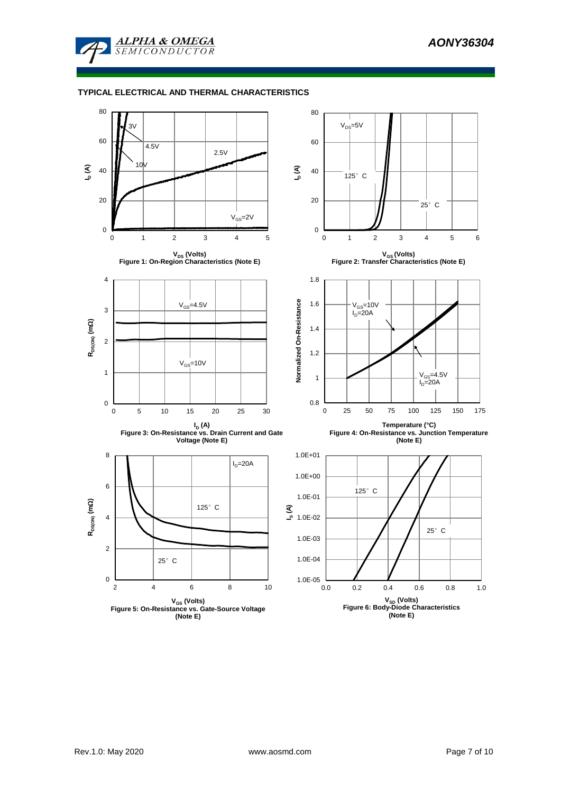

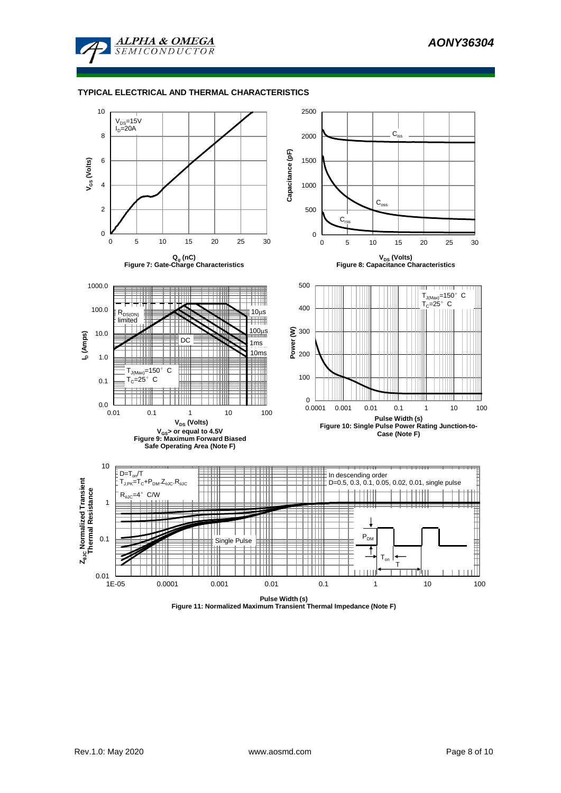



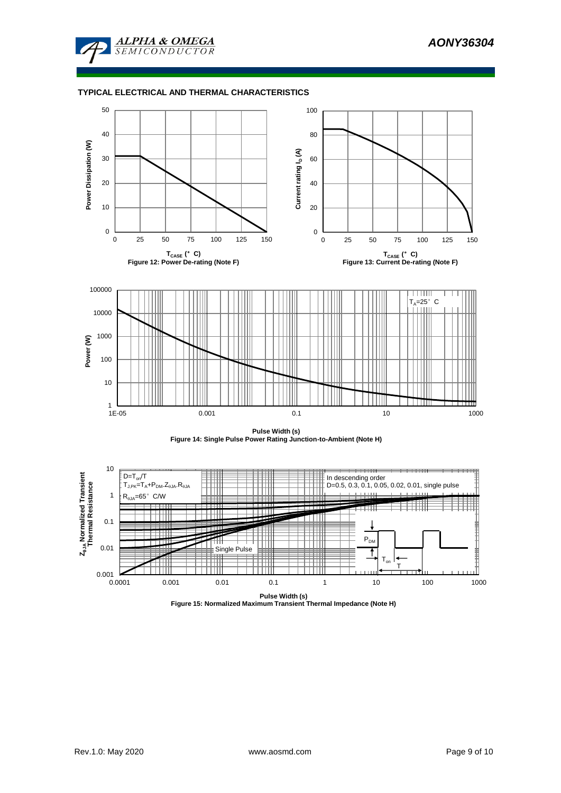